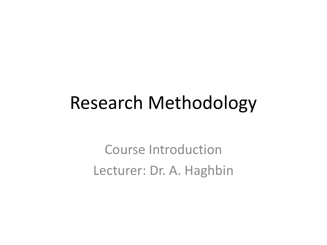#### Research Methodology

Course Introduction Lecturer: Dr. A. Haghbin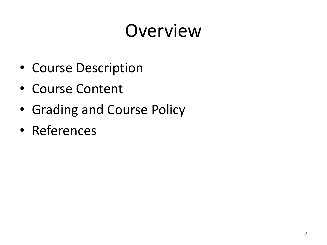## Overview

- Course Description
- Course Content
- Grading and Course Policy
- References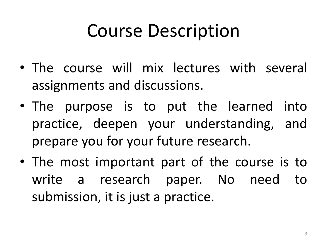## Course Description

- The course will mix lectures with several assignments and discussions.
- The purpose is to put the learned into practice, deepen your understanding, and prepare you for your future research.
- The most important part of the course is to write a research paper. No need to submission, it is just a practice.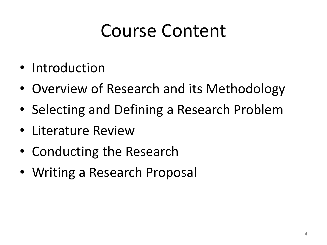### Course Content

- Introduction
- Overview of Research and its Methodology
- Selecting and Defining a Research Problem
- Literature Review
- Conducting the Research
- Writing a Research Proposal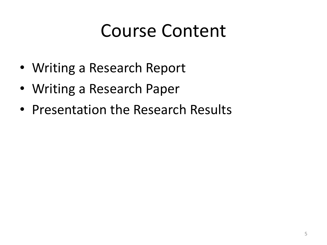### Course Content

- Writing a Research Report
- Writing a Research Paper
- Presentation the Research Results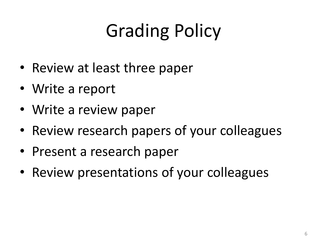# Grading Policy

- Review at least three paper
- Write a report
- Write a review paper
- Review research papers of your colleagues
- Present a research paper
- Review presentations of your colleagues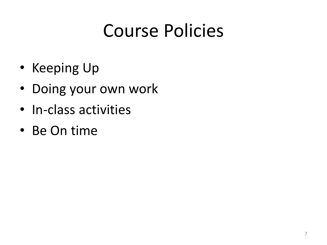## Course Policies

- Keeping Up
- Doing your own work
- In-class activities
- Be On time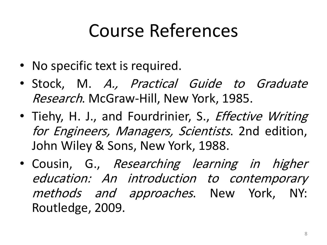## Course References

- No specific text is required.
- Stock, M. A., Practical Guide to Graduate Research. McGraw-Hill, New York, 1985.
- Tiehy, H. J., and Fourdrinier, S., *Effective Writing* for Engineers, Managers, Scientists. 2nd edition, John Wiley & Sons, New York, 1988.
- Cousin, G., Researching learning in higher education: An introduction to contemporary methods and approaches. New York, NY: Routledge, 2009.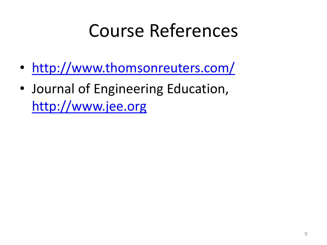### Course References

- <http://www.thomsonreuters.com/>
- Journal of Engineering Education, [http://www.jee.org](http://www.jee.org/)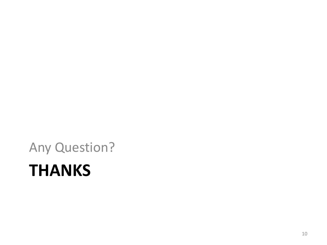## **THANKS** Any Question?